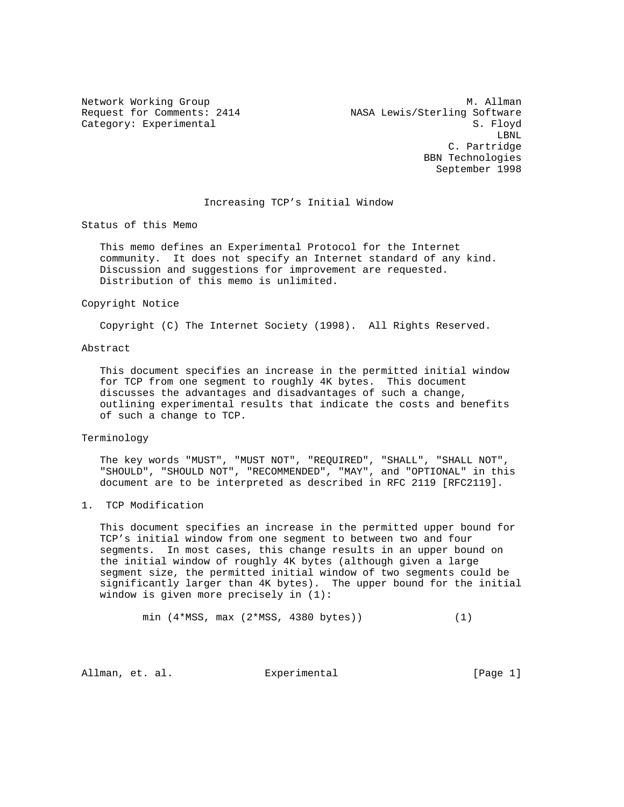Network Working Group and Month Communications of M. Allman Request for Comments: 2414 NASA Lewis/Sterling Software Category: Experimental S. Floyd LBNL C. Partridge BBN Technologies September 1998

#### Increasing TCP's Initial Window

Status of this Memo

 This memo defines an Experimental Protocol for the Internet community. It does not specify an Internet standard of any kind. Discussion and suggestions for improvement are requested. Distribution of this memo is unlimited.

#### Copyright Notice

Copyright (C) The Internet Society (1998). All Rights Reserved.

# Abstract

 This document specifies an increase in the permitted initial window for TCP from one segment to roughly 4K bytes. This document discusses the advantages and disadvantages of such a change, outlining experimental results that indicate the costs and benefits of such a change to TCP.

### Terminology

 The key words "MUST", "MUST NOT", "REQUIRED", "SHALL", "SHALL NOT", "SHOULD", "SHOULD NOT", "RECOMMENDED", "MAY", and "OPTIONAL" in this document are to be interpreted as described in RFC 2119 [RFC2119].

# 1. TCP Modification

 This document specifies an increase in the permitted upper bound for TCP's initial window from one segment to between two and four segments. In most cases, this change results in an upper bound on the initial window of roughly 4K bytes (although given a large segment size, the permitted initial window of two segments could be significantly larger than 4K bytes). The upper bound for the initial window is given more precisely in (1):

min (4\*MSS, max (2\*MSS, 4380 bytes)) (1)

Allman, et. al. Experimental [Page 1]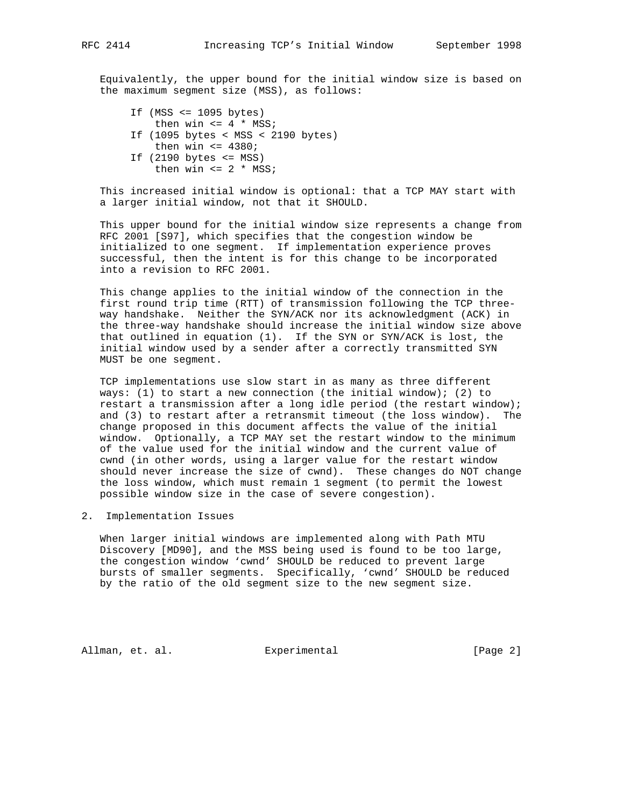Equivalently, the upper bound for the initial window size is based on the maximum segment size (MSS), as follows:

 If (MSS <= 1095 bytes) then win  $\leq 4$  \* MSS; If (1095 bytes < MSS < 2190 bytes) then win  $\leq 4380$ ; If  $(2190 \text{ bytes} \leq MSS)$ then win  $\leq 2$  \* MSS;

 This increased initial window is optional: that a TCP MAY start with a larger initial window, not that it SHOULD.

 This upper bound for the initial window size represents a change from RFC 2001 [S97], which specifies that the congestion window be initialized to one segment. If implementation experience proves successful, then the intent is for this change to be incorporated into a revision to RFC 2001.

 This change applies to the initial window of the connection in the first round trip time (RTT) of transmission following the TCP three way handshake. Neither the SYN/ACK nor its acknowledgment (ACK) in the three-way handshake should increase the initial window size above that outlined in equation (1). If the SYN or SYN/ACK is lost, the initial window used by a sender after a correctly transmitted SYN MUST be one segment.

 TCP implementations use slow start in as many as three different ways: (1) to start a new connection (the initial window); (2) to restart a transmission after a long idle period (the restart window); and (3) to restart after a retransmit timeout (the loss window). The change proposed in this document affects the value of the initial window. Optionally, a TCP MAY set the restart window to the minimum of the value used for the initial window and the current value of cwnd (in other words, using a larger value for the restart window should never increase the size of cwnd). These changes do NOT change the loss window, which must remain 1 segment (to permit the lowest possible window size in the case of severe congestion).

2. Implementation Issues

 When larger initial windows are implemented along with Path MTU Discovery [MD90], and the MSS being used is found to be too large, the congestion window 'cwnd' SHOULD be reduced to prevent large bursts of smaller segments. Specifically, 'cwnd' SHOULD be reduced by the ratio of the old segment size to the new segment size.

Allman, et. al. Experimental [Page 2]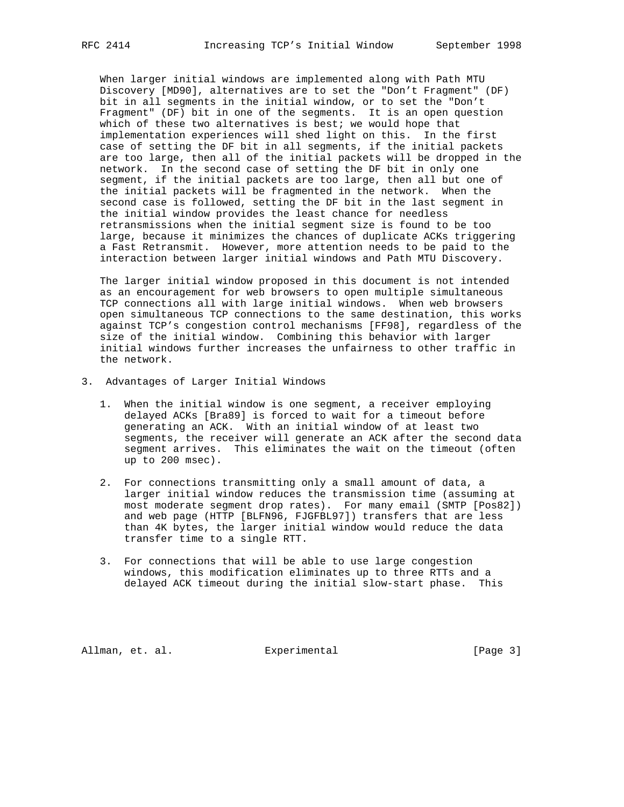When larger initial windows are implemented along with Path MTU Discovery [MD90], alternatives are to set the "Don't Fragment" (DF) bit in all segments in the initial window, or to set the "Don't Fragment" (DF) bit in one of the segments. It is an open question which of these two alternatives is best; we would hope that implementation experiences will shed light on this. In the first case of setting the DF bit in all segments, if the initial packets are too large, then all of the initial packets will be dropped in the network. In the second case of setting the DF bit in only one segment, if the initial packets are too large, then all but one of the initial packets will be fragmented in the network. When the second case is followed, setting the DF bit in the last segment in the initial window provides the least chance for needless retransmissions when the initial segment size is found to be too large, because it minimizes the chances of duplicate ACKs triggering a Fast Retransmit. However, more attention needs to be paid to the interaction between larger initial windows and Path MTU Discovery.

 The larger initial window proposed in this document is not intended as an encouragement for web browsers to open multiple simultaneous TCP connections all with large initial windows. When web browsers open simultaneous TCP connections to the same destination, this works against TCP's congestion control mechanisms [FF98], regardless of the size of the initial window. Combining this behavior with larger initial windows further increases the unfairness to other traffic in the network.

- 3. Advantages of Larger Initial Windows
	- 1. When the initial window is one segment, a receiver employing delayed ACKs [Bra89] is forced to wait for a timeout before generating an ACK. With an initial window of at least two segments, the receiver will generate an ACK after the second data segment arrives. This eliminates the wait on the timeout (often up to 200 msec).
	- 2. For connections transmitting only a small amount of data, a larger initial window reduces the transmission time (assuming at most moderate segment drop rates). For many email (SMTP [Pos82]) and web page (HTTP [BLFN96, FJGFBL97]) transfers that are less than 4K bytes, the larger initial window would reduce the data transfer time to a single RTT.
	- 3. For connections that will be able to use large congestion windows, this modification eliminates up to three RTTs and a delayed ACK timeout during the initial slow-start phase. This

Allman, et. al. Experimental [Page 3]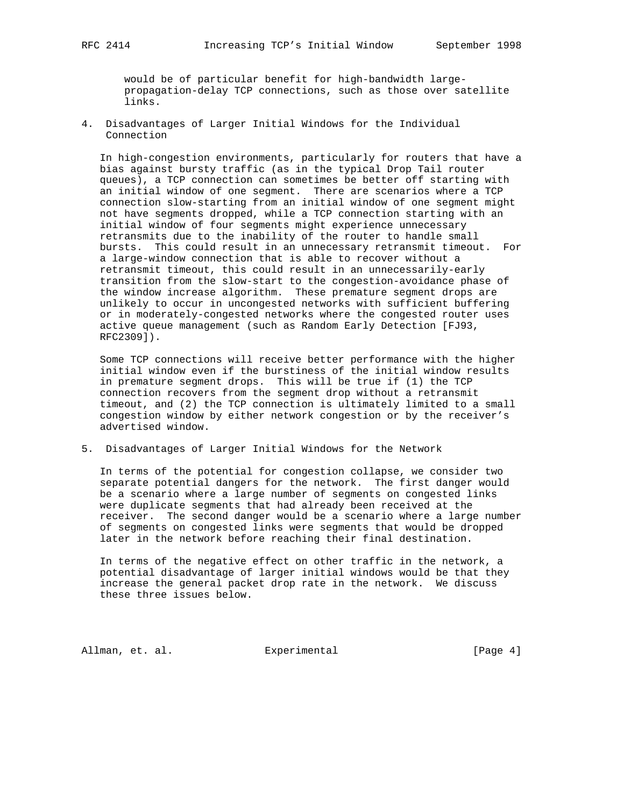would be of particular benefit for high-bandwidth large propagation-delay TCP connections, such as those over satellite links.

4. Disadvantages of Larger Initial Windows for the Individual Connection

 In high-congestion environments, particularly for routers that have a bias against bursty traffic (as in the typical Drop Tail router queues), a TCP connection can sometimes be better off starting with an initial window of one segment. There are scenarios where a TCP connection slow-starting from an initial window of one segment might not have segments dropped, while a TCP connection starting with an initial window of four segments might experience unnecessary retransmits due to the inability of the router to handle small bursts. This could result in an unnecessary retransmit timeout. For a large-window connection that is able to recover without a retransmit timeout, this could result in an unnecessarily-early transition from the slow-start to the congestion-avoidance phase of the window increase algorithm. These premature segment drops are unlikely to occur in uncongested networks with sufficient buffering or in moderately-congested networks where the congested router uses active queue management (such as Random Early Detection [FJ93, RFC2309]).

 Some TCP connections will receive better performance with the higher initial window even if the burstiness of the initial window results in premature segment drops. This will be true if (1) the TCP connection recovers from the segment drop without a retransmit timeout, and (2) the TCP connection is ultimately limited to a small congestion window by either network congestion or by the receiver's advertised window.

5. Disadvantages of Larger Initial Windows for the Network

 In terms of the potential for congestion collapse, we consider two separate potential dangers for the network. The first danger would be a scenario where a large number of segments on congested links were duplicate segments that had already been received at the receiver. The second danger would be a scenario where a large number of segments on congested links were segments that would be dropped later in the network before reaching their final destination.

 In terms of the negative effect on other traffic in the network, a potential disadvantage of larger initial windows would be that they increase the general packet drop rate in the network. We discuss these three issues below.

Allman, et. al. Experimental [Page 4]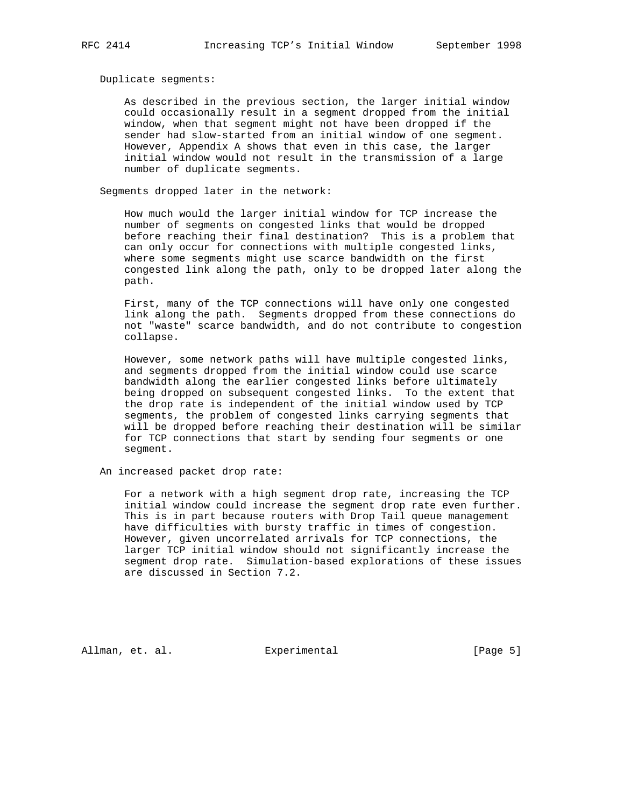Duplicate segments:

 As described in the previous section, the larger initial window could occasionally result in a segment dropped from the initial window, when that segment might not have been dropped if the sender had slow-started from an initial window of one segment. However, Appendix A shows that even in this case, the larger initial window would not result in the transmission of a large number of duplicate segments.

Segments dropped later in the network:

 How much would the larger initial window for TCP increase the number of segments on congested links that would be dropped before reaching their final destination? This is a problem that can only occur for connections with multiple congested links, where some segments might use scarce bandwidth on the first congested link along the path, only to be dropped later along the path.

 First, many of the TCP connections will have only one congested link along the path. Segments dropped from these connections do not "waste" scarce bandwidth, and do not contribute to congestion collapse.

 However, some network paths will have multiple congested links, and segments dropped from the initial window could use scarce bandwidth along the earlier congested links before ultimately being dropped on subsequent congested links. To the extent that the drop rate is independent of the initial window used by TCP segments, the problem of congested links carrying segments that will be dropped before reaching their destination will be similar for TCP connections that start by sending four segments or one segment.

An increased packet drop rate:

 For a network with a high segment drop rate, increasing the TCP initial window could increase the segment drop rate even further. This is in part because routers with Drop Tail queue management have difficulties with bursty traffic in times of congestion. However, given uncorrelated arrivals for TCP connections, the larger TCP initial window should not significantly increase the segment drop rate. Simulation-based explorations of these issues are discussed in Section 7.2.

Allman, et. al. Experimental [Page 5]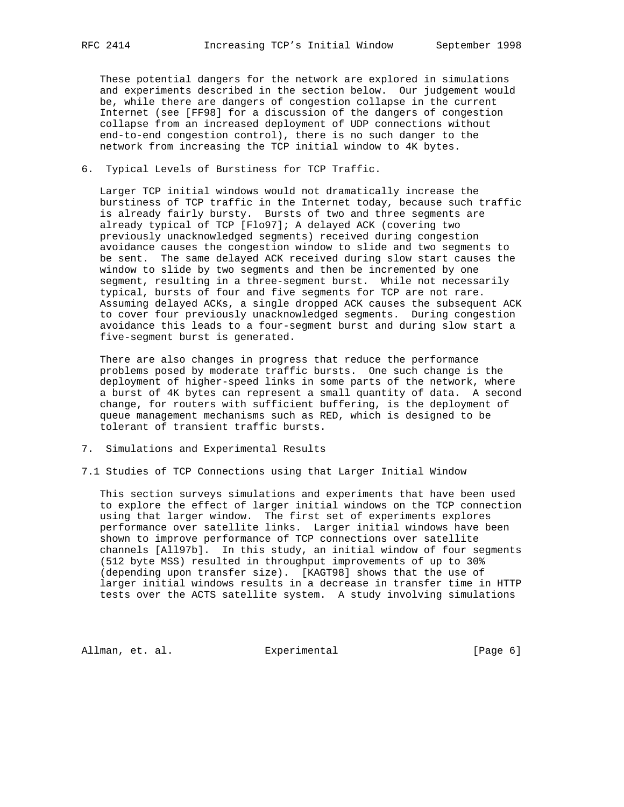These potential dangers for the network are explored in simulations and experiments described in the section below. Our judgement would be, while there are dangers of congestion collapse in the current Internet (see [FF98] for a discussion of the dangers of congestion collapse from an increased deployment of UDP connections without end-to-end congestion control), there is no such danger to the network from increasing the TCP initial window to 4K bytes.

6. Typical Levels of Burstiness for TCP Traffic.

 Larger TCP initial windows would not dramatically increase the burstiness of TCP traffic in the Internet today, because such traffic is already fairly bursty. Bursts of two and three segments are already typical of TCP [Flo97]; A delayed ACK (covering two previously unacknowledged segments) received during congestion avoidance causes the congestion window to slide and two segments to be sent. The same delayed ACK received during slow start causes the window to slide by two segments and then be incremented by one segment, resulting in a three-segment burst. While not necessarily typical, bursts of four and five segments for TCP are not rare. Assuming delayed ACKs, a single dropped ACK causes the subsequent ACK to cover four previously unacknowledged segments. During congestion avoidance this leads to a four-segment burst and during slow start a five-segment burst is generated.

 There are also changes in progress that reduce the performance problems posed by moderate traffic bursts. One such change is the deployment of higher-speed links in some parts of the network, where a burst of 4K bytes can represent a small quantity of data. A second change, for routers with sufficient buffering, is the deployment of queue management mechanisms such as RED, which is designed to be tolerant of transient traffic bursts.

- 7. Simulations and Experimental Results
- 7.1 Studies of TCP Connections using that Larger Initial Window

 This section surveys simulations and experiments that have been used to explore the effect of larger initial windows on the TCP connection using that larger window. The first set of experiments explores performance over satellite links. Larger initial windows have been shown to improve performance of TCP connections over satellite channels [All97b]. In this study, an initial window of four segments (512 byte MSS) resulted in throughput improvements of up to 30% (depending upon transfer size). [KAGT98] shows that the use of larger initial windows results in a decrease in transfer time in HTTP tests over the ACTS satellite system. A study involving simulations

Allman, et. al. Experimental [Page 6]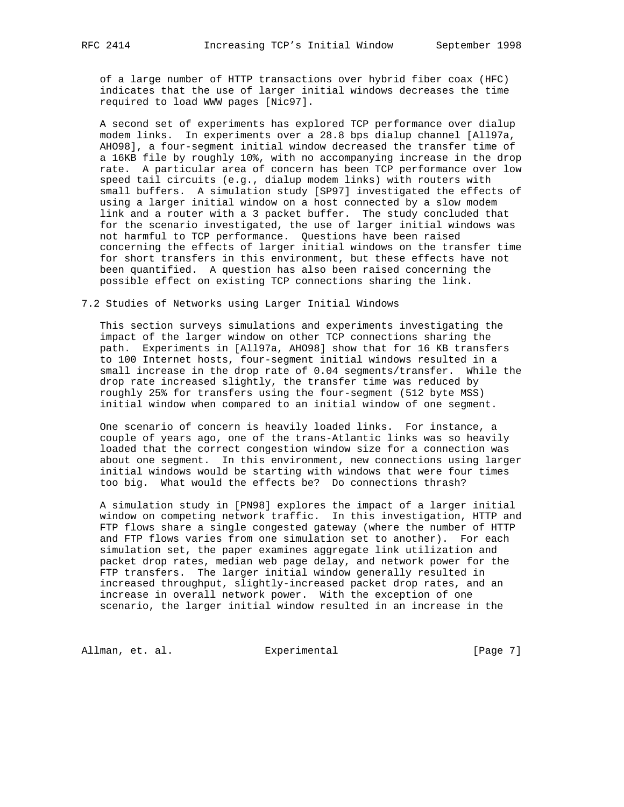of a large number of HTTP transactions over hybrid fiber coax (HFC) indicates that the use of larger initial windows decreases the time required to load WWW pages [Nic97].

 A second set of experiments has explored TCP performance over dialup modem links. In experiments over a 28.8 bps dialup channel [All97a, AHO98], a four-segment initial window decreased the transfer time of a 16KB file by roughly 10%, with no accompanying increase in the drop rate. A particular area of concern has been TCP performance over low speed tail circuits (e.g., dialup modem links) with routers with small buffers. A simulation study [SP97] investigated the effects of using a larger initial window on a host connected by a slow modem link and a router with a 3 packet buffer. The study concluded that for the scenario investigated, the use of larger initial windows was not harmful to TCP performance. Questions have been raised concerning the effects of larger initial windows on the transfer time for short transfers in this environment, but these effects have not been quantified. A question has also been raised concerning the possible effect on existing TCP connections sharing the link.

### 7.2 Studies of Networks using Larger Initial Windows

 This section surveys simulations and experiments investigating the impact of the larger window on other TCP connections sharing the path. Experiments in [All97a, AHO98] show that for 16 KB transfers to 100 Internet hosts, four-segment initial windows resulted in a small increase in the drop rate of 0.04 segments/transfer. While the drop rate increased slightly, the transfer time was reduced by roughly 25% for transfers using the four-segment (512 byte MSS) initial window when compared to an initial window of one segment.

 One scenario of concern is heavily loaded links. For instance, a couple of years ago, one of the trans-Atlantic links was so heavily loaded that the correct congestion window size for a connection was about one segment. In this environment, new connections using larger initial windows would be starting with windows that were four times too big. What would the effects be? Do connections thrash?

 A simulation study in [PN98] explores the impact of a larger initial window on competing network traffic. In this investigation, HTTP and FTP flows share a single congested gateway (where the number of HTTP and FTP flows varies from one simulation set to another). For each simulation set, the paper examines aggregate link utilization and packet drop rates, median web page delay, and network power for the FTP transfers. The larger initial window generally resulted in increased throughput, slightly-increased packet drop rates, and an increase in overall network power. With the exception of one scenario, the larger initial window resulted in an increase in the

Allman, et. al. **Experimental** Experimental [Page 7]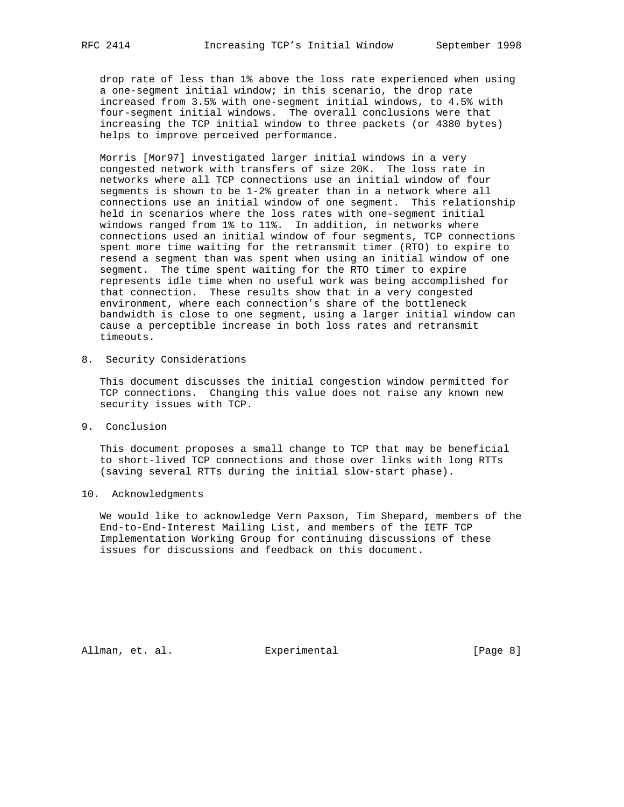drop rate of less than 1% above the loss rate experienced when using a one-segment initial window; in this scenario, the drop rate increased from 3.5% with one-segment initial windows, to 4.5% with four-segment initial windows. The overall conclusions were that increasing the TCP initial window to three packets (or 4380 bytes) helps to improve perceived performance.

 Morris [Mor97] investigated larger initial windows in a very congested network with transfers of size 20K. The loss rate in networks where all TCP connections use an initial window of four segments is shown to be 1-2% greater than in a network where all connections use an initial window of one segment. This relationship held in scenarios where the loss rates with one-segment initial windows ranged from 1% to 11%. In addition, in networks where connections used an initial window of four segments, TCP connections spent more time waiting for the retransmit timer (RTO) to expire to resend a segment than was spent when using an initial window of one segment. The time spent waiting for the RTO timer to expire represents idle time when no useful work was being accomplished for that connection. These results show that in a very congested environment, where each connection's share of the bottleneck bandwidth is close to one segment, using a larger initial window can cause a perceptible increase in both loss rates and retransmit timeouts.

8. Security Considerations

 This document discusses the initial congestion window permitted for TCP connections. Changing this value does not raise any known new security issues with TCP.

9. Conclusion

 This document proposes a small change to TCP that may be beneficial to short-lived TCP connections and those over links with long RTTs (saving several RTTs during the initial slow-start phase).

10. Acknowledgments

 We would like to acknowledge Vern Paxson, Tim Shepard, members of the End-to-End-Interest Mailing List, and members of the IETF TCP Implementation Working Group for continuing discussions of these issues for discussions and feedback on this document.

Allman, et. al. Experimental [Page 8]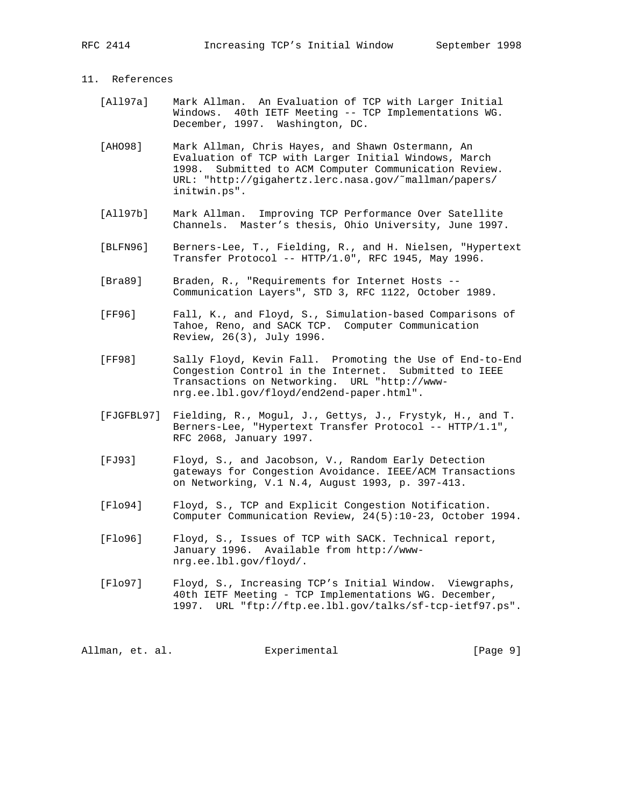## 11. References

- [All97a] Mark Allman. An Evaluation of TCP with Larger Initial Windows. 40th IETF Meeting -- TCP Implementations WG. December, 1997. Washington, DC.
- [AHO98] Mark Allman, Chris Hayes, and Shawn Ostermann, An Evaluation of TCP with Larger Initial Windows, March 1998. Submitted to ACM Computer Communication Review. URL: "http://gigahertz.lerc.nasa.gov/˜mallman/papers/ initwin.ps".
- [All97b] Mark Allman. Improving TCP Performance Over Satellite Channels. Master's thesis, Ohio University, June 1997.
- [BLFN96] Berners-Lee, T., Fielding, R., and H. Nielsen, "Hypertext Transfer Protocol -- HTTP/1.0", RFC 1945, May 1996.
- [Bra89] Braden, R., "Requirements for Internet Hosts --Communication Layers", STD 3, RFC 1122, October 1989.
- [FF96] Fall, K., and Floyd, S., Simulation-based Comparisons of Tahoe, Reno, and SACK TCP. Computer Communication Review, 26(3), July 1996.
- [FF98] Sally Floyd, Kevin Fall. Promoting the Use of End-to-End Congestion Control in the Internet. Submitted to IEEE Transactions on Networking. URL "http://www nrg.ee.lbl.gov/floyd/end2end-paper.html".
- [FJGFBL97] Fielding, R., Mogul, J., Gettys, J., Frystyk, H., and T. Berners-Lee, "Hypertext Transfer Protocol -- HTTP/1.1", RFC 2068, January 1997.
- [FJ93] Floyd, S., and Jacobson, V., Random Early Detection gateways for Congestion Avoidance. IEEE/ACM Transactions on Networking, V.1 N.4, August 1993, p. 397-413.
- [Flo94] Floyd, S., TCP and Explicit Congestion Notification. Computer Communication Review, 24(5):10-23, October 1994.
- [Flo96] Floyd, S., Issues of TCP with SACK. Technical report, January 1996. Available from http://www nrg.ee.lbl.gov/floyd/.
- [Flo97] Floyd, S., Increasing TCP's Initial Window. Viewgraphs, 40th IETF Meeting - TCP Implementations WG. December, 1997. URL "ftp://ftp.ee.lbl.gov/talks/sf-tcp-ietf97.ps".

Allman, et. al. experimental allman, et. al.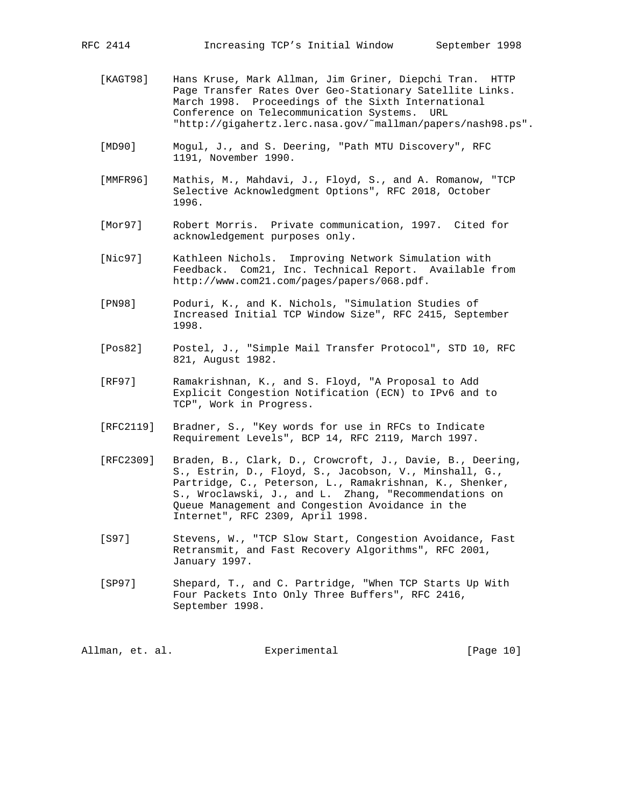- [KAGT98] Hans Kruse, Mark Allman, Jim Griner, Diepchi Tran. HTTP Page Transfer Rates Over Geo-Stationary Satellite Links. March 1998. Proceedings of the Sixth International Conference on Telecommunication Systems. URL "http://gigahertz.lerc.nasa.gov/˜mallman/papers/nash98.ps".
- [MD90] Mogul, J., and S. Deering, "Path MTU Discovery", RFC 1191, November 1990.
- [MMFR96] Mathis, M., Mahdavi, J., Floyd, S., and A. Romanow, "TCP Selective Acknowledgment Options", RFC 2018, October 1996.
- [Mor97] Robert Morris. Private communication, 1997. Cited for acknowledgement purposes only.
- [Nic97] Kathleen Nichols. Improving Network Simulation with Feedback. Com21, Inc. Technical Report. Available from http://www.com21.com/pages/papers/068.pdf.
- [PN98] Poduri, K., and K. Nichols, "Simulation Studies of Increased Initial TCP Window Size", RFC 2415, September 1998.
- [Pos82] Postel, J., "Simple Mail Transfer Protocol", STD 10, RFC 821, August 1982.
- [RF97] Ramakrishnan, K., and S. Floyd, "A Proposal to Add Explicit Congestion Notification (ECN) to IPv6 and to TCP", Work in Progress.
- [RFC2119] Bradner, S., "Key words for use in RFCs to Indicate Requirement Levels", BCP 14, RFC 2119, March 1997.
- [RFC2309] Braden, B., Clark, D., Crowcroft, J., Davie, B., Deering, S., Estrin, D., Floyd, S., Jacobson, V., Minshall, G., Partridge, C., Peterson, L., Ramakrishnan, K., Shenker, S., Wroclawski, J., and L. Zhang, "Recommendations on Queue Management and Congestion Avoidance in the Internet", RFC 2309, April 1998.
- [S97] Stevens, W., "TCP Slow Start, Congestion Avoidance, Fast Retransmit, and Fast Recovery Algorithms", RFC 2001, January 1997.
- [SP97] Shepard, T., and C. Partridge, "When TCP Starts Up With Four Packets Into Only Three Buffers", RFC 2416, September 1998.

Allman, et. al. Experimental [Page 10]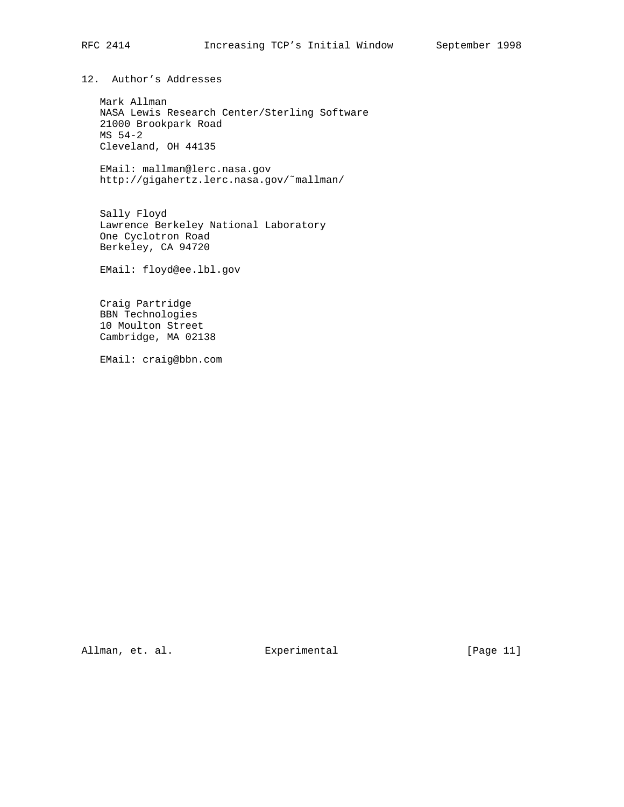12. Author's Addresses

 Mark Allman NASA Lewis Research Center/Sterling Software 21000 Brookpark Road MS 54-2 Cleveland, OH 44135

 EMail: mallman@lerc.nasa.gov http://gigahertz.lerc.nasa.gov/˜mallman/

 Sally Floyd Lawrence Berkeley National Laboratory One Cyclotron Road Berkeley, CA 94720

EMail: floyd@ee.lbl.gov

 Craig Partridge BBN Technologies 10 Moulton Street Cambridge, MA 02138

EMail: craig@bbn.com

Allman, et. al. Experimental [Page 11]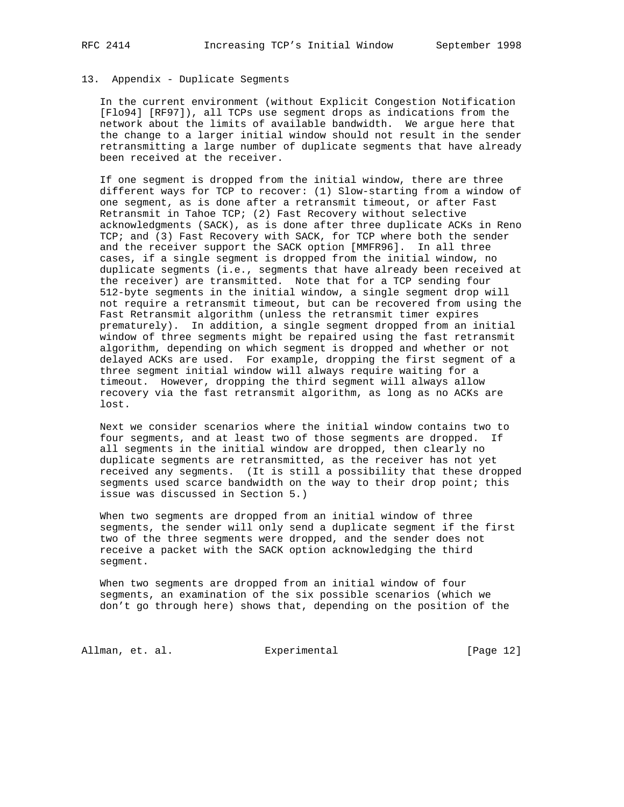#### 13. Appendix - Duplicate Segments

 In the current environment (without Explicit Congestion Notification [Flo94] [RF97]), all TCPs use segment drops as indications from the network about the limits of available bandwidth. We argue here that the change to a larger initial window should not result in the sender retransmitting a large number of duplicate segments that have already been received at the receiver.

 If one segment is dropped from the initial window, there are three different ways for TCP to recover: (1) Slow-starting from a window of one segment, as is done after a retransmit timeout, or after Fast Retransmit in Tahoe TCP; (2) Fast Recovery without selective acknowledgments (SACK), as is done after three duplicate ACKs in Reno TCP; and (3) Fast Recovery with SACK, for TCP where both the sender and the receiver support the SACK option [MMFR96]. In all three cases, if a single segment is dropped from the initial window, no duplicate segments (i.e., segments that have already been received at the receiver) are transmitted. Note that for a TCP sending four 512-byte segments in the initial window, a single segment drop will not require a retransmit timeout, but can be recovered from using the Fast Retransmit algorithm (unless the retransmit timer expires prematurely). In addition, a single segment dropped from an initial window of three segments might be repaired using the fast retransmit algorithm, depending on which segment is dropped and whether or not delayed ACKs are used. For example, dropping the first segment of a three segment initial window will always require waiting for a timeout. However, dropping the third segment will always allow recovery via the fast retransmit algorithm, as long as no ACKs are lost.

 Next we consider scenarios where the initial window contains two to four segments, and at least two of those segments are dropped. If all segments in the initial window are dropped, then clearly no duplicate segments are retransmitted, as the receiver has not yet received any segments. (It is still a possibility that these dropped segments used scarce bandwidth on the way to their drop point; this issue was discussed in Section 5.)

 When two segments are dropped from an initial window of three segments, the sender will only send a duplicate segment if the first two of the three segments were dropped, and the sender does not receive a packet with the SACK option acknowledging the third segment.

 When two segments are dropped from an initial window of four segments, an examination of the six possible scenarios (which we don't go through here) shows that, depending on the position of the

Allman, et. al. **Experimental** [Page 12]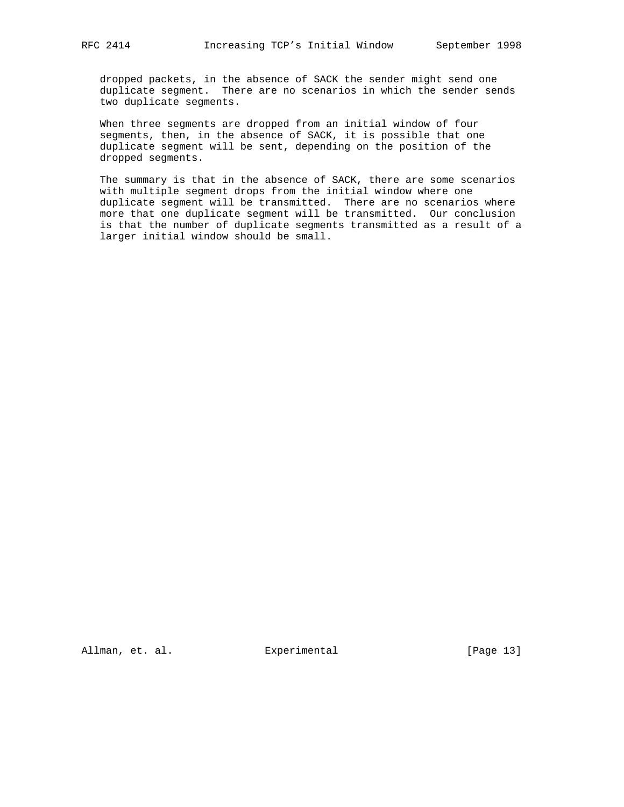dropped packets, in the absence of SACK the sender might send one duplicate segment. There are no scenarios in which the sender sends two duplicate segments.

 When three segments are dropped from an initial window of four segments, then, in the absence of SACK, it is possible that one duplicate segment will be sent, depending on the position of the dropped segments.

 The summary is that in the absence of SACK, there are some scenarios with multiple segment drops from the initial window where one duplicate segment will be transmitted. There are no scenarios where more that one duplicate segment will be transmitted. Our conclusion is that the number of duplicate segments transmitted as a result of a larger initial window should be small.